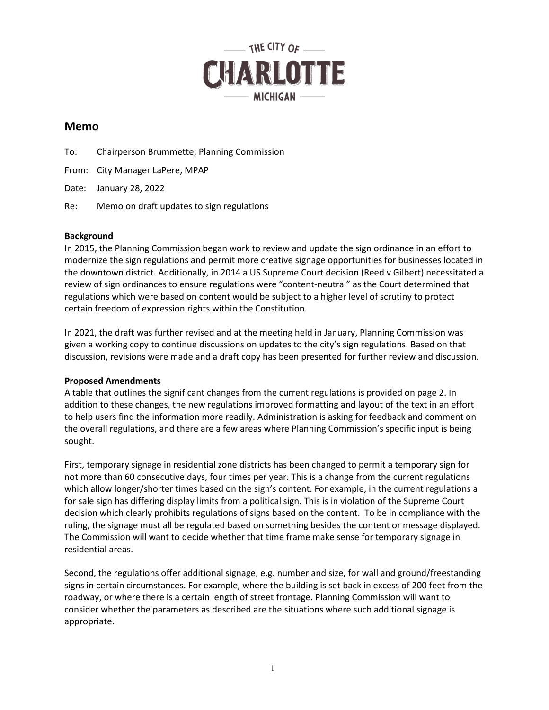

## **Memo**

To: Chairperson Brummette; Planning Commission

From: City Manager LaPere, MPAP

Date: January 28, 2022

Re: Memo on draft updates to sign regulations

## **Background**

In 2015, the Planning Commission began work to review and update the sign ordinance in an effort to modernize the sign regulations and permit more creative signage opportunities for businesses located in the downtown district. Additionally, in 2014 a US Supreme Court decision (Reed v Gilbert) necessitated a review of sign ordinances to ensure regulations were "content-neutral" as the Court determined that regulations which were based on content would be subject to a higher level of scrutiny to protect certain freedom of expression rights within the Constitution.

In 2021, the draft was further revised and at the meeting held in January, Planning Commission was given a working copy to continue discussions on updates to the city's sign regulations. Based on that discussion, revisions were made and a draft copy has been presented for further review and discussion.

## **Proposed Amendments**

A table that outlines the significant changes from the current regulations is provided on page 2. In addition to these changes, the new regulations improved formatting and layout of the text in an effort to help users find the information more readily. Administration is asking for feedback and comment on the overall regulations, and there are a few areas where Planning Commission's specific input is being sought.

First, temporary signage in residential zone districts has been changed to permit a temporary sign for not more than 60 consecutive days, four times per year. This is a change from the current regulations which allow longer/shorter times based on the sign's content. For example, in the current regulations a for sale sign has differing display limits from a political sign. This is in violation of the Supreme Court decision which clearly prohibits regulations of signs based on the content. To be in compliance with the ruling, the signage must all be regulated based on something besides the content or message displayed. The Commission will want to decide whether that time frame make sense for temporary signage in residential areas.

Second, the regulations offer additional signage, e.g. number and size, for wall and ground/freestanding signs in certain circumstances. For example, where the building is set back in excess of 200 feet from the roadway, or where there is a certain length of street frontage. Planning Commission will want to consider whether the parameters as described are the situations where such additional signage is appropriate.